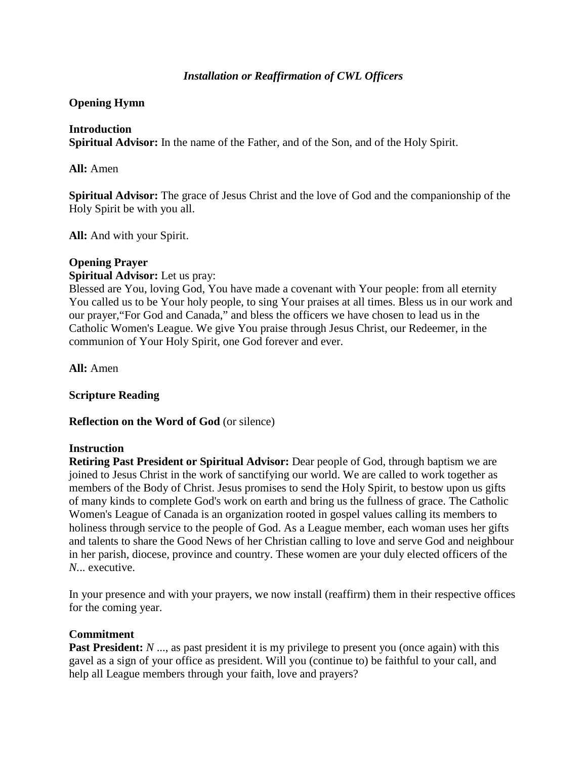# *Installation or Reaffirmation of CWL Officers*

### **Opening Hymn**

### **Introduction**

**Spiritual Advisor:** In the name of the Father, and of the Son, and of the Holy Spirit.

**All:** Amen

**Spiritual Advisor:** The grace of Jesus Christ and the love of God and the companionship of the Holy Spirit be with you all.

**All:** And with your Spirit.

#### **Opening Prayer**

#### **Spiritual Advisor:** Let us pray:

Blessed are You, loving God, You have made a covenant with Your people: from all eternity You called us to be Your holy people, to sing Your praises at all times. Bless us in our work and our prayer,"For God and Canada," and bless the officers we have chosen to lead us in the Catholic Women's League. We give You praise through Jesus Christ, our Redeemer, in the communion of Your Holy Spirit, one God forever and ever.

**All:** Amen

### **Scripture Reading**

**Reflection on the Word of God** (or silence)

#### **Instruction**

**Retiring Past President or Spiritual Advisor:** Dear people of God, through baptism we are joined to Jesus Christ in the work of sanctifying our world. We are called to work together as members of the Body of Christ. Jesus promises to send the Holy Spirit, to bestow upon us gifts of many kinds to complete God's work on earth and bring us the fullness of grace. The Catholic Women's League of Canada is an organization rooted in gospel values calling its members to holiness through service to the people of God. As a League member, each woman uses her gifts and talents to share the Good News of her Christian calling to love and serve God and neighbour in her parish, diocese, province and country. These women are your duly elected officers of the *N.*.. executive.

In your presence and with your prayers, we now install (reaffirm) them in their respective offices for the coming year.

### **Commitment**

**Past President:** *N* ..., as past president it is my privilege to present you (once again) with this gavel as a sign of your office as president. Will you (continue to) be faithful to your call, and help all League members through your faith, love and prayers?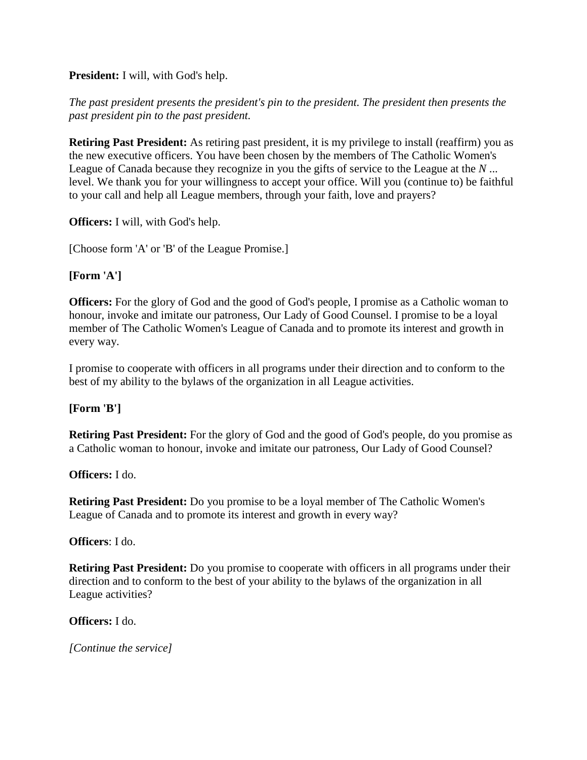### **President:** I will, with God's help.

# *The past president presents the president's pin to the president. The president then presents the past president pin to the past president.*

**Retiring Past President:** As retiring past president, it is my privilege to install (reaffirm) you as the new executive officers. You have been chosen by the members of The Catholic Women's League of Canada because they recognize in you the gifts of service to the League at the *N* ... level. We thank you for your willingness to accept your office. Will you (continue to) be faithful to your call and help all League members, through your faith, love and prayers?

**Officers:** I will, with God's help.

[Choose form 'A' or 'B' of the League Promise.]

### **[Form 'A']**

**Officers:** For the glory of God and the good of God's people, I promise as a Catholic woman to honour, invoke and imitate our patroness, Our Lady of Good Counsel. I promise to be a loyal member of The Catholic Women's League of Canada and to promote its interest and growth in every way.

I promise to cooperate with officers in all programs under their direction and to conform to the best of my ability to the bylaws of the organization in all League activities.

# **[Form 'B']**

**Retiring Past President:** For the glory of God and the good of God's people, do you promise as a Catholic woman to honour, invoke and imitate our patroness, Our Lady of Good Counsel?

### **Officers:** I do.

**Retiring Past President:** Do you promise to be a loyal member of The Catholic Women's League of Canada and to promote its interest and growth in every way?

### **Officers**: I do.

**Retiring Past President:** Do you promise to cooperate with officers in all programs under their direction and to conform to the best of your ability to the bylaws of the organization in all League activities?

### **Officers:** I do.

*[Continue the service]*